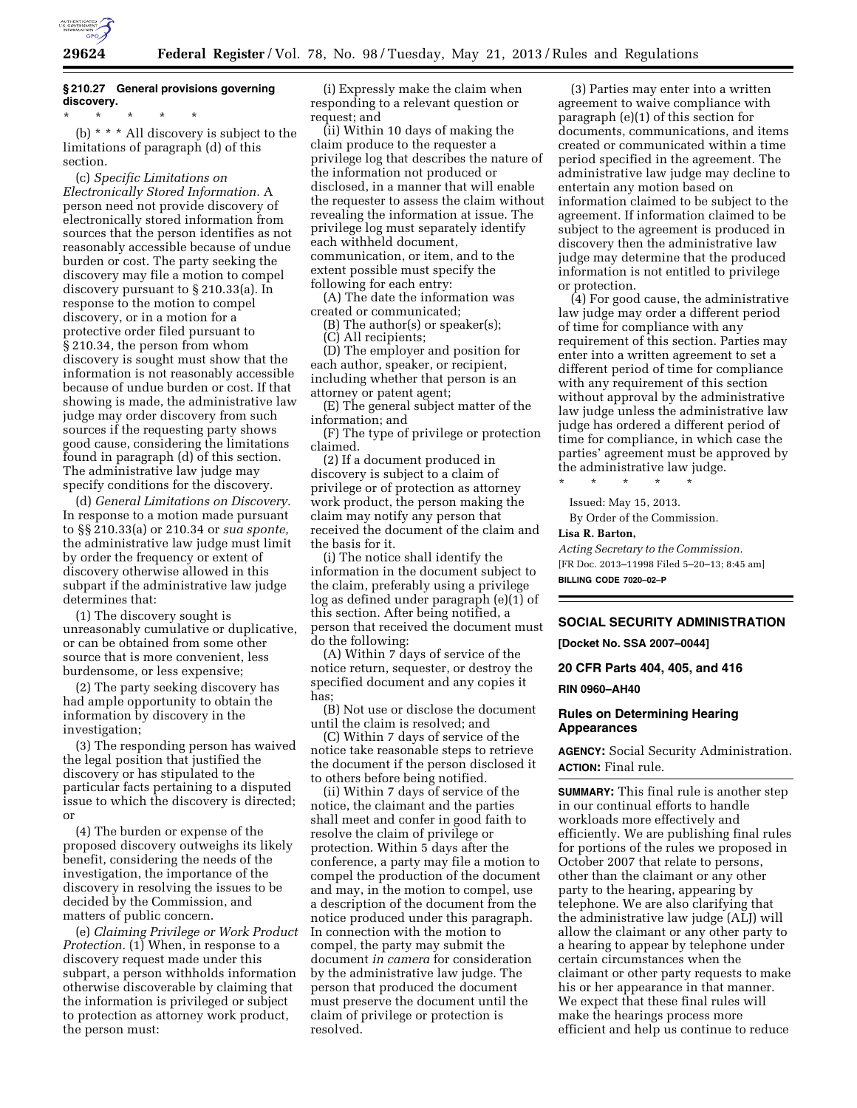

# **§ 210.27 General provisions governing discovery.**

\* \* \* \* \* (b) \* \* \* All discovery is subject to the limitations of paragraph (d) of this section.

(c) *Specific Limitations on Electronically Stored Information.* A person need not provide discovery of electronically stored information from sources that the person identifies as not reasonably accessible because of undue burden or cost. The party seeking the discovery may file a motion to compel discovery pursuant to § 210.33(a). In response to the motion to compel discovery, or in a motion for a protective order filed pursuant to § 210.34, the person from whom discovery is sought must show that the information is not reasonably accessible because of undue burden or cost. If that showing is made, the administrative law judge may order discovery from such sources if the requesting party shows good cause, considering the limitations found in paragraph (d) of this section. The administrative law judge may specify conditions for the discovery.

(d) *General Limitations on Discovery.*  In response to a motion made pursuant to §§ 210.33(a) or 210.34 or *sua sponte,*  the administrative law judge must limit by order the frequency or extent of discovery otherwise allowed in this subpart if the administrative law judge determines that:

(1) The discovery sought is unreasonably cumulative or duplicative, or can be obtained from some other source that is more convenient, less burdensome, or less expensive;

(2) The party seeking discovery has had ample opportunity to obtain the information by discovery in the investigation;

(3) The responding person has waived the legal position that justified the discovery or has stipulated to the particular facts pertaining to a disputed issue to which the discovery is directed; or

(4) The burden or expense of the proposed discovery outweighs its likely benefit, considering the needs of the investigation, the importance of the discovery in resolving the issues to be decided by the Commission, and matters of public concern.

(e) *Claiming Privilege or Work Product Protection.* (1) When, in response to a discovery request made under this subpart, a person withholds information otherwise discoverable by claiming that the information is privileged or subject to protection as attorney work product, the person must:

(i) Expressly make the claim when responding to a relevant question or request; and

(ii) Within 10 days of making the claim produce to the requester a privilege log that describes the nature of the information not produced or disclosed, in a manner that will enable the requester to assess the claim without revealing the information at issue. The privilege log must separately identify each withheld document, communication, or item, and to the extent possible must specify the following for each entry:

(A) The date the information was created or communicated;

(B) The author(s) or speaker(s); (C) All recipients;

(D) The employer and position for each author, speaker, or recipient, including whether that person is an attorney or patent agent;

(E) The general subject matter of the information; and

(F) The type of privilege or protection claimed.

(2) If a document produced in discovery is subject to a claim of privilege or of protection as attorney work product, the person making the claim may notify any person that received the document of the claim and the basis for it.

(i) The notice shall identify the information in the document subject to the claim, preferably using a privilege log as defined under paragraph (e)(1) of this section. After being notified, a person that received the document must do the following:

(A) Within 7 days of service of the notice return, sequester, or destroy the specified document and any copies it has;

(B) Not use or disclose the document until the claim is resolved; and

(C) Within 7 days of service of the notice take reasonable steps to retrieve the document if the person disclosed it to others before being notified.

(ii) Within 7 days of service of the notice, the claimant and the parties shall meet and confer in good faith to resolve the claim of privilege or protection. Within 5 days after the conference, a party may file a motion to compel the production of the document and may, in the motion to compel, use a description of the document from the notice produced under this paragraph. In connection with the motion to compel, the party may submit the document *in camera* for consideration by the administrative law judge. The person that produced the document must preserve the document until the claim of privilege or protection is resolved.

(3) Parties may enter into a written agreement to waive compliance with paragraph (e)(1) of this section for documents, communications, and items created or communicated within a time period specified in the agreement. The administrative law judge may decline to entertain any motion based on information claimed to be subject to the agreement. If information claimed to be subject to the agreement is produced in discovery then the administrative law judge may determine that the produced information is not entitled to privilege or protection.

(4) For good cause, the administrative law judge may order a different period of time for compliance with any requirement of this section. Parties may enter into a written agreement to set a different period of time for compliance with any requirement of this section without approval by the administrative law judge unless the administrative law judge has ordered a different period of time for compliance, in which case the parties' agreement must be approved by the administrative law judge.

\* \* \* \* \* Issued: May 15, 2013.

By Order of the Commission.

#### **Lisa R. Barton,**

*Acting Secretary to the Commission.*  [FR Doc. 2013–11998 Filed 5–20–13; 8:45 am] **BILLING CODE 7020–02–P** 

# **SOCIAL SECURITY ADMINISTRATION**

**[Docket No. SSA 2007–0044]** 

**20 CFR Parts 404, 405, and 416** 

**RIN 0960–AH40** 

# **Rules on Determining Hearing Appearances**

**AGENCY:** Social Security Administration. **ACTION:** Final rule.

**SUMMARY:** This final rule is another step in our continual efforts to handle workloads more effectively and efficiently. We are publishing final rules for portions of the rules we proposed in October 2007 that relate to persons, other than the claimant or any other party to the hearing, appearing by telephone. We are also clarifying that the administrative law judge (ALJ) will allow the claimant or any other party to a hearing to appear by telephone under certain circumstances when the claimant or other party requests to make his or her appearance in that manner. We expect that these final rules will make the hearings process more efficient and help us continue to reduce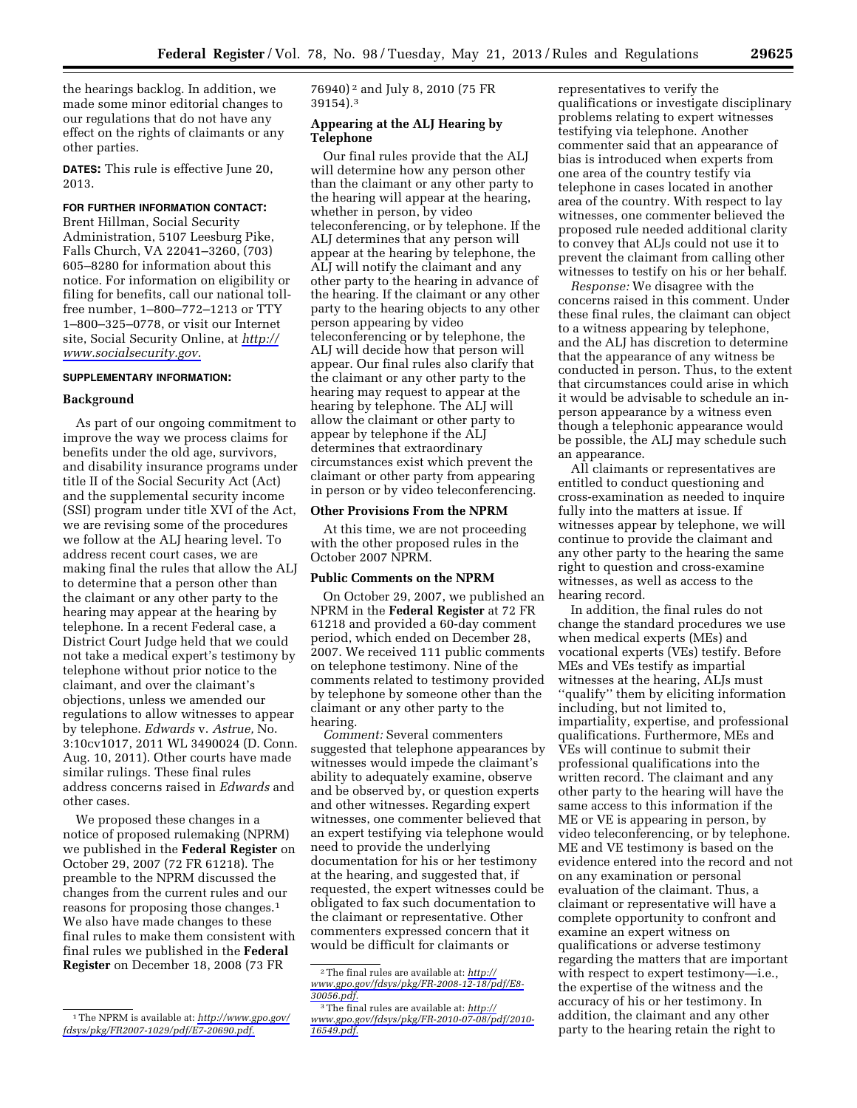the hearings backlog. In addition, we made some minor editorial changes to our regulations that do not have any effect on the rights of claimants or any other parties.

**DATES:** This rule is effective June 20, 2013.

# **FOR FURTHER INFORMATION CONTACT:**

Brent Hillman, Social Security Administration, 5107 Leesburg Pike, Falls Church, VA 22041–3260, (703) 605–8280 for information about this notice. For information on eligibility or filing for benefits, call our national tollfree number, 1–800–772–1213 or TTY 1–800–325–0778, or visit our Internet site, Social Security Online, at *[http://](http://www.socialsecurity.gov) [www.socialsecurity.gov.](http://www.socialsecurity.gov)* 

## **SUPPLEMENTARY INFORMATION:**

## **Background**

As part of our ongoing commitment to improve the way we process claims for benefits under the old age, survivors, and disability insurance programs under title II of the Social Security Act (Act) and the supplemental security income (SSI) program under title XVI of the Act, we are revising some of the procedures we follow at the ALJ hearing level. To address recent court cases, we are making final the rules that allow the ALJ to determine that a person other than the claimant or any other party to the hearing may appear at the hearing by telephone. In a recent Federal case, a District Court Judge held that we could not take a medical expert's testimony by telephone without prior notice to the claimant, and over the claimant's objections, unless we amended our regulations to allow witnesses to appear by telephone. *Edwards* v. *Astrue,* No. 3:10cv1017, 2011 WL 3490024 (D. Conn. Aug. 10, 2011). Other courts have made similar rulings. These final rules address concerns raised in *Edwards* and other cases.

We proposed these changes in a notice of proposed rulemaking (NPRM) we published in the **Federal Register** on October 29, 2007 (72 FR 61218). The preamble to the NPRM discussed the changes from the current rules and our reasons for proposing those changes.1 We also have made changes to these final rules to make them consistent with final rules we published in the **Federal Register** on December 18, 2008 (73 FR

76940) 2 and July 8, 2010 (75 FR 39154).3

## **Appearing at the ALJ Hearing by Telephone**

Our final rules provide that the ALJ will determine how any person other than the claimant or any other party to the hearing will appear at the hearing, whether in person, by video teleconferencing, or by telephone. If the ALJ determines that any person will appear at the hearing by telephone, the ALJ will notify the claimant and any other party to the hearing in advance of the hearing. If the claimant or any other party to the hearing objects to any other person appearing by video teleconferencing or by telephone, the ALJ will decide how that person will appear. Our final rules also clarify that the claimant or any other party to the hearing may request to appear at the hearing by telephone. The ALJ will allow the claimant or other party to appear by telephone if the ALJ determines that extraordinary circumstances exist which prevent the claimant or other party from appearing in person or by video teleconferencing.

#### **Other Provisions From the NPRM**

At this time, we are not proceeding with the other proposed rules in the October 2007 NPRM.

#### **Public Comments on the NPRM**

On October 29, 2007, we published an NPRM in the **Federal Register** at 72 FR 61218 and provided a 60-day comment period, which ended on December 28, 2007. We received 111 public comments on telephone testimony. Nine of the comments related to testimony provided by telephone by someone other than the claimant or any other party to the hearing.

*Comment:* Several commenters suggested that telephone appearances by witnesses would impede the claimant's ability to adequately examine, observe and be observed by, or question experts and other witnesses. Regarding expert witnesses, one commenter believed that an expert testifying via telephone would need to provide the underlying documentation for his or her testimony at the hearing, and suggested that, if requested, the expert witnesses could be obligated to fax such documentation to the claimant or representative. Other commenters expressed concern that it would be difficult for claimants or

representatives to verify the qualifications or investigate disciplinary problems relating to expert witnesses testifying via telephone. Another commenter said that an appearance of bias is introduced when experts from one area of the country testify via telephone in cases located in another area of the country. With respect to lay witnesses, one commenter believed the proposed rule needed additional clarity to convey that ALJs could not use it to prevent the claimant from calling other witnesses to testify on his or her behalf.

*Response:* We disagree with the concerns raised in this comment. Under these final rules, the claimant can object to a witness appearing by telephone, and the ALJ has discretion to determine that the appearance of any witness be conducted in person. Thus, to the extent that circumstances could arise in which it would be advisable to schedule an inperson appearance by a witness even though a telephonic appearance would be possible, the ALJ may schedule such an appearance.

All claimants or representatives are entitled to conduct questioning and cross-examination as needed to inquire fully into the matters at issue. If witnesses appear by telephone, we will continue to provide the claimant and any other party to the hearing the same right to question and cross-examine witnesses, as well as access to the hearing record.

In addition, the final rules do not change the standard procedures we use when medical experts (MEs) and vocational experts (VEs) testify. Before MEs and VEs testify as impartial witnesses at the hearing, ALJs must ''qualify'' them by eliciting information including, but not limited to, impartiality, expertise, and professional qualifications. Furthermore, MEs and VEs will continue to submit their professional qualifications into the written record. The claimant and any other party to the hearing will have the same access to this information if the ME or VE is appearing in person, by video teleconferencing, or by telephone. ME and VE testimony is based on the evidence entered into the record and not on any examination or personal evaluation of the claimant. Thus, a claimant or representative will have a complete opportunity to confront and examine an expert witness on qualifications or adverse testimony regarding the matters that are important with respect to expert testimony—i.e., the expertise of the witness and the accuracy of his or her testimony. In addition, the claimant and any other party to the hearing retain the right to

<sup>1</sup>The NPRM is available at: *[http://www.gpo.gov/](http://www.gpo.gov/fdsys/pkg/FR2007-1029/pdf/E7-20690.pdf) [fdsys/pkg/FR2007-1029/pdf/E7-20690.pdf.](http://www.gpo.gov/fdsys/pkg/FR2007-1029/pdf/E7-20690.pdf)* 

<sup>2</sup>The final rules are available at: *[http://](http://www.gpo.gov/fdsys/pkg/FR-2008-12-18/pdf/E8-30056.pdf)  [www.gpo.gov/fdsys/pkg/FR-2008-12-18/pdf/E8-](http://www.gpo.gov/fdsys/pkg/FR-2008-12-18/pdf/E8-30056.pdf)  [30056.pdf.](http://www.gpo.gov/fdsys/pkg/FR-2008-12-18/pdf/E8-30056.pdf)* 

<sup>3</sup>The final rules are available at: *[http://](http://www.gpo.gov/fdsys/pkg/FR-2010-07-08/pdf/2010-16549.pdf)  [www.gpo.gov/fdsys/pkg/FR-2010-07-08/pdf/2010-](http://www.gpo.gov/fdsys/pkg/FR-2010-07-08/pdf/2010-16549.pdf)  [16549.pdf.](http://www.gpo.gov/fdsys/pkg/FR-2010-07-08/pdf/2010-16549.pdf)*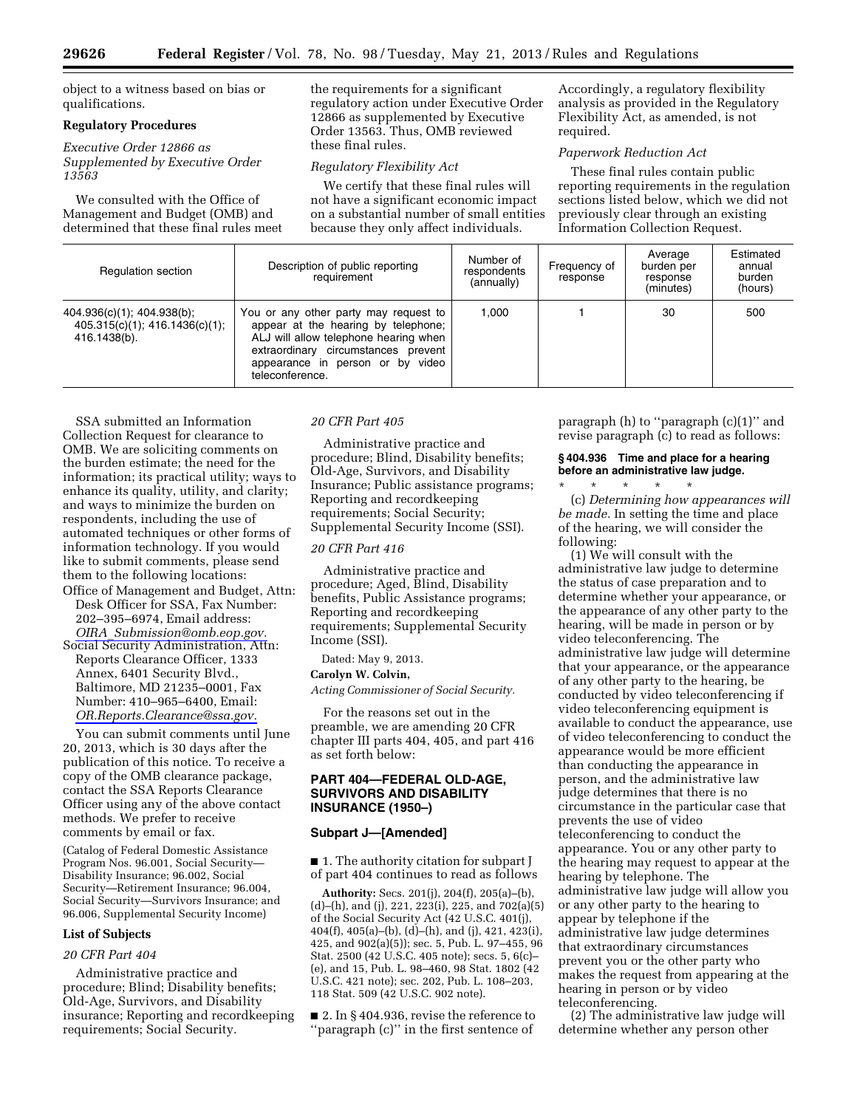object to a witness based on bias or qualifications.

# **Regulatory Procedures**

*Executive Order 12866 as Supplemented by Executive Order 13563* 

We consulted with the Office of Management and Budget (OMB) and determined that these final rules meet the requirements for a significant regulatory action under Executive Order 12866 as supplemented by Executive Order 13563. Thus, OMB reviewed these final rules.

## *Regulatory Flexibility Act*

We certify that these final rules will not have a significant economic impact on a substantial number of small entities because they only affect individuals.

Accordingly, a regulatory flexibility analysis as provided in the Regulatory Flexibility Act, as amended, is not required.

# *Paperwork Reduction Act*

These final rules contain public reporting requirements in the regulation sections listed below, which we did not previously clear through an existing Information Collection Request.

| Regulation section                                                                 | Description of public reporting<br>requirement                                                                                                                                                                      | Number of<br>respondents<br>(annually) | Frequency of<br>response | Average<br>burden per<br>response<br>(minutes) | Estimated<br>annual<br>burden<br>(hours) |
|------------------------------------------------------------------------------------|---------------------------------------------------------------------------------------------------------------------------------------------------------------------------------------------------------------------|----------------------------------------|--------------------------|------------------------------------------------|------------------------------------------|
| $404.936(c)(1)$ ; $404.938(b)$ ;<br>405.315(c)(1); 416.1436(c)(1);<br>416.1438(b). | You or any other party may request to<br>appear at the hearing by telephone;<br>ALJ will allow telephone hearing when<br>extraordinary circumstances prevent<br>appearance in person or by video<br>teleconference. | 1.000                                  |                          | 30                                             | 500                                      |

SSA submitted an Information Collection Request for clearance to OMB. We are soliciting comments on the burden estimate; the need for the information; its practical utility; ways to enhance its quality, utility, and clarity; and ways to minimize the burden on respondents, including the use of automated techniques or other forms of information technology. If you would like to submit comments, please send them to the following locations:

- Office of Management and Budget, Attn: Desk Officer for SSA, Fax Number: 202–395–6974, Email address: *OIRA*\_*[Submission@omb.eop.gov.](mailto:OIRA_Submission@omb.eop.gov)*
- Social Security Administration, Attn: Reports Clearance Officer, 1333 Annex, 6401 Security Blvd., Baltimore, MD 21235–0001, Fax Number: 410–965–6400, Email: *[OR.Reports.Clearance@ssa.gov.](mailto:OR.Reports.Clearance@ssa.gov)*

You can submit comments until June 20, 2013, which is 30 days after the publication of this notice. To receive a copy of the OMB clearance package, contact the SSA Reports Clearance Officer using any of the above contact methods. We prefer to receive comments by email or fax.

(Catalog of Federal Domestic Assistance Program Nos. 96.001, Social Security— Disability Insurance; 96.002, Social Security—Retirement Insurance; 96.004, Social Security—Survivors Insurance; and 96.006, Supplemental Security Income)

# **List of Subjects**

#### *20 CFR Part 404*

Administrative practice and procedure; Blind; Disability benefits; Old-Age, Survivors, and Disability insurance; Reporting and recordkeeping requirements; Social Security.

# *20 CFR Part 405*

Administrative practice and procedure; Blind, Disability benefits; Old-Age, Survivors, and Disability Insurance; Public assistance programs; Reporting and recordkeeping requirements; Social Security; Supplemental Security Income (SSI).

#### *20 CFR Part 416*

Administrative practice and procedure; Aged, Blind, Disability benefits, Public Assistance programs; Reporting and recordkeeping requirements; Supplemental Security Income (SSI).

Dated: May 9, 2013.

#### **Carolyn W. Colvin,**

*Acting Commissioner of Social Security.* 

For the reasons set out in the preamble, we are amending 20 CFR chapter III parts 404, 405, and part 416 as set forth below:

# **PART 404—FEDERAL OLD-AGE, SURVIVORS AND DISABILITY INSURANCE (1950–)**

## **Subpart J—[Amended]**

■ 1. The authority citation for subpart J of part 404 continues to read as follows

**Authority:** Secs. 201(j), 204(f), 205(a)–(b), (d)–(h), and (j), 221, 223(i), 225, and 702(a)(5) of the Social Security Act (42 U.S.C. 401(j), 404(f), 405(a)–(b), (d)–(h), and (j), 421, 423(i), 425, and 902(a)(5)); sec. 5, Pub. L. 97–455, 96 Stat. 2500 (42 U.S.C. 405 note); secs. 5, 6(c)– (e), and 15, Pub. L. 98–460, 98 Stat. 1802 (42 U.S.C. 421 note); sec. 202, Pub. L. 108–203, 118 Stat. 509 (42 U.S.C. 902 note).

■ 2. In §404.936, revise the reference to ''paragraph (c)'' in the first sentence of

paragraph (h) to ''paragraph (c)(1)'' and revise paragraph (c) to read as follows:

# **§ 404.936 Time and place for a hearing before an administrative law judge.**

\* \* \* \* \* (c) *Determining how appearances will be made.* In setting the time and place of the hearing, we will consider the following:

(1) We will consult with the administrative law judge to determine the status of case preparation and to determine whether your appearance, or the appearance of any other party to the hearing, will be made in person or by video teleconferencing. The administrative law judge will determine that your appearance, or the appearance of any other party to the hearing, be conducted by video teleconferencing if video teleconferencing equipment is available to conduct the appearance, use of video teleconferencing to conduct the appearance would be more efficient than conducting the appearance in person, and the administrative law judge determines that there is no circumstance in the particular case that prevents the use of video teleconferencing to conduct the appearance. You or any other party to the hearing may request to appear at the hearing by telephone. The administrative law judge will allow you or any other party to the hearing to appear by telephone if the administrative law judge determines that extraordinary circumstances prevent you or the other party who makes the request from appearing at the hearing in person or by video teleconferencing.

(2) The administrative law judge will determine whether any person other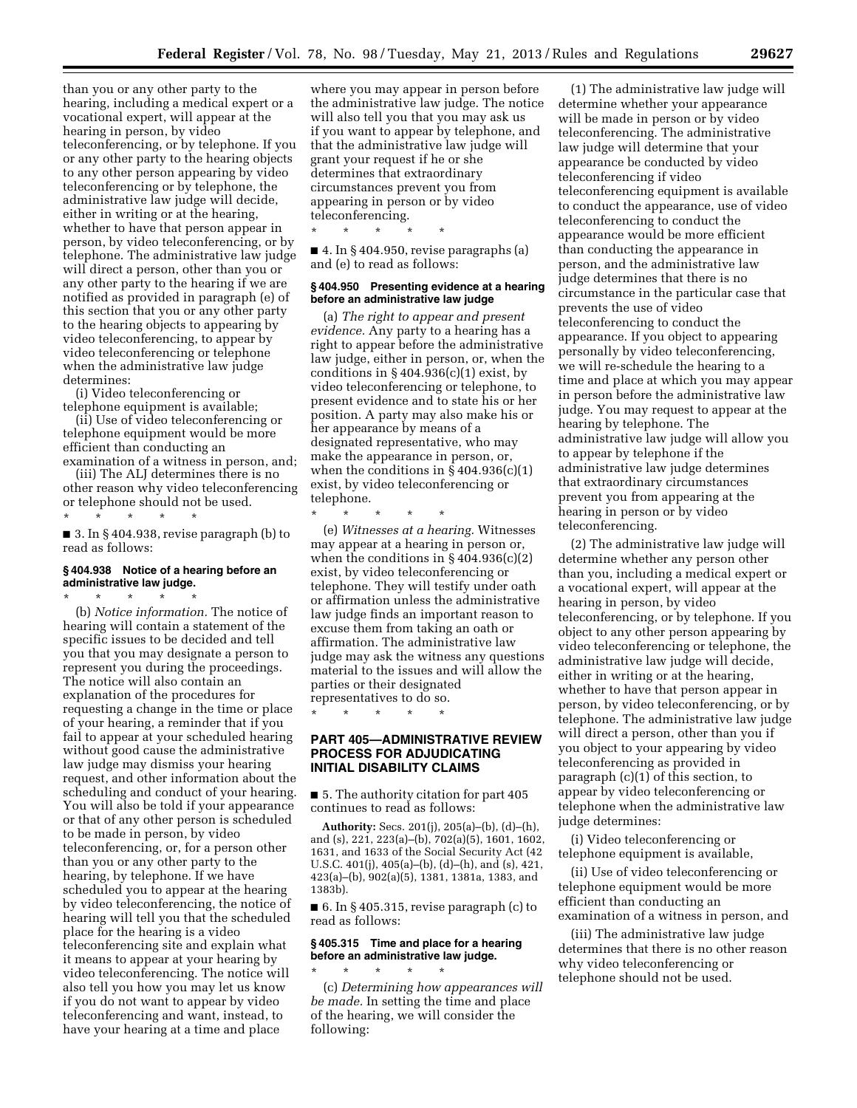than you or any other party to the hearing, including a medical expert or a vocational expert, will appear at the hearing in person, by video teleconferencing, or by telephone. If you or any other party to the hearing objects to any other person appearing by video teleconferencing or by telephone, the administrative law judge will decide, either in writing or at the hearing, whether to have that person appear in person, by video teleconferencing, or by telephone. The administrative law judge will direct a person, other than you or any other party to the hearing if we are notified as provided in paragraph (e) of this section that you or any other party to the hearing objects to appearing by video teleconferencing, to appear by video teleconferencing or telephone when the administrative law judge determines:

(i) Video teleconferencing or telephone equipment is available;

(ii) Use of video teleconferencing or telephone equipment would be more efficient than conducting an examination of a witness in person, and;

(iii) The ALJ determines there is no other reason why video teleconferencing or telephone should not be used.

\* \* \* \* \* ■ 3. In § 404.938, revise paragraph (b) to read as follows:

## **§ 404.938 Notice of a hearing before an administrative law judge.**

\* \* \* \* \*

(b) *Notice information.* The notice of hearing will contain a statement of the specific issues to be decided and tell you that you may designate a person to represent you during the proceedings. The notice will also contain an explanation of the procedures for requesting a change in the time or place of your hearing, a reminder that if you fail to appear at your scheduled hearing without good cause the administrative law judge may dismiss your hearing request, and other information about the scheduling and conduct of your hearing. You will also be told if your appearance or that of any other person is scheduled to be made in person, by video teleconferencing, or, for a person other than you or any other party to the hearing, by telephone. If we have scheduled you to appear at the hearing by video teleconferencing, the notice of hearing will tell you that the scheduled place for the hearing is a video teleconferencing site and explain what it means to appear at your hearing by video teleconferencing. The notice will also tell you how you may let us know if you do not want to appear by video teleconferencing and want, instead, to have your hearing at a time and place

where you may appear in person before the administrative law judge. The notice will also tell you that you may ask us if you want to appear by telephone, and that the administrative law judge will grant your request if he or she determines that extraordinary circumstances prevent you from appearing in person or by video teleconferencing.

■ 4. In §404.950, revise paragraphs (a) and (e) to read as follows:

\* \* \* \* \*

### **§ 404.950 Presenting evidence at a hearing before an administrative law judge**

(a) *The right to appear and present evidence.* Any party to a hearing has a right to appear before the administrative law judge, either in person, or, when the conditions in  $\S 404.936(c)(1)$  exist, by video teleconferencing or telephone, to present evidence and to state his or her position. A party may also make his or her appearance by means of a designated representative, who may make the appearance in person, or, when the conditions in  $\S 404.936(c)(1)$ exist, by video teleconferencing or telephone.

\* \* \* \* \*

(e) *Witnesses at a hearing.* Witnesses may appear at a hearing in person or, when the conditions in  $\S 404.936(c)(2)$ exist, by video teleconferencing or telephone. They will testify under oath or affirmation unless the administrative law judge finds an important reason to excuse them from taking an oath or affirmation. The administrative law judge may ask the witness any questions material to the issues and will allow the parties or their designated

representatives to do so. \* \* \* \* \*

# **PART 405—ADMINISTRATIVE REVIEW PROCESS FOR ADJUDICATING INITIAL DISABILITY CLAIMS**

■ 5. The authority citation for part 405 continues to read as follows:

**Authority:** Secs. 201(j), 205(a)–(b), (d)–(h), and (s), 221, 223(a)–(b), 702(a)(5), 1601, 1602, 1631, and 1633 of the Social Security Act (42 U.S.C. 401(j), 405(a)–(b), (d)–(h), and (s), 421, 423(a)–(b), 902(a)(5), 1381, 1381a, 1383, and 1383b).

■ 6. In § 405.315, revise paragraph (c) to read as follows:

# **§ 405.315 Time and place for a hearing before an administrative law judge.**

\* \* \* \* \*

(c) *Determining how appearances will be made.* In setting the time and place of the hearing, we will consider the following:

(1) The administrative law judge will determine whether your appearance will be made in person or by video teleconferencing. The administrative law judge will determine that your appearance be conducted by video teleconferencing if video teleconferencing equipment is available to conduct the appearance, use of video teleconferencing to conduct the appearance would be more efficient than conducting the appearance in person, and the administrative law judge determines that there is no circumstance in the particular case that prevents the use of video teleconferencing to conduct the appearance. If you object to appearing personally by video teleconferencing, we will re-schedule the hearing to a time and place at which you may appear in person before the administrative law judge. You may request to appear at the hearing by telephone. The administrative law judge will allow you to appear by telephone if the administrative law judge determines that extraordinary circumstances prevent you from appearing at the hearing in person or by video teleconferencing.

(2) The administrative law judge will determine whether any person other than you, including a medical expert or a vocational expert, will appear at the hearing in person, by video teleconferencing, or by telephone. If you object to any other person appearing by video teleconferencing or telephone, the administrative law judge will decide, either in writing or at the hearing, whether to have that person appear in person, by video teleconferencing, or by telephone. The administrative law judge will direct a person, other than you if you object to your appearing by video teleconferencing as provided in paragraph (c)(1) of this section, to appear by video teleconferencing or telephone when the administrative law judge determines:

(i) Video teleconferencing or telephone equipment is available,

(ii) Use of video teleconferencing or telephone equipment would be more efficient than conducting an examination of a witness in person, and

(iii) The administrative law judge determines that there is no other reason why video teleconferencing or telephone should not be used.